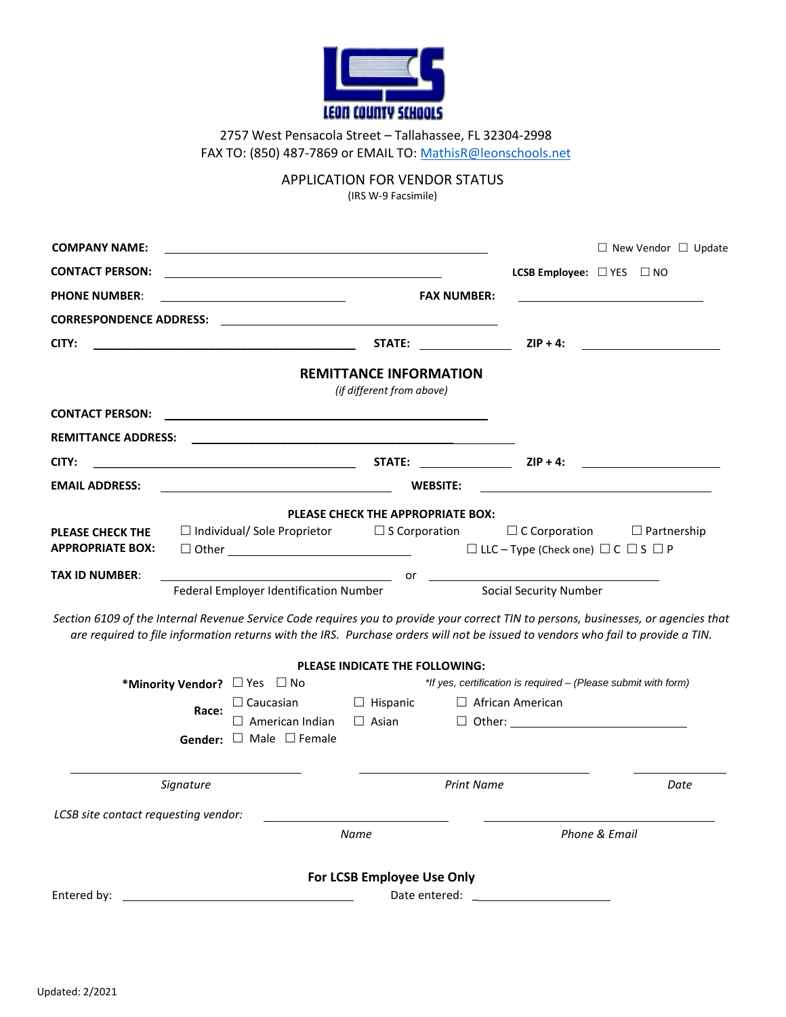

2757 West Pensacola Street – Tallahassee, FL 32304-2998 FAX TO: (850) 487-7869 or EMAIL TO: MathisR@leonschools.net

APPLICATION FOR VENDOR STATUS

(IRS W-9 Facsimile)

| <b>COMPANY NAME:</b>                 |                                                                                          |                                                                                                                                                                                                                                                                        |                                                          | $\Box$ New Vendor $\Box$ Update                                |
|--------------------------------------|------------------------------------------------------------------------------------------|------------------------------------------------------------------------------------------------------------------------------------------------------------------------------------------------------------------------------------------------------------------------|----------------------------------------------------------|----------------------------------------------------------------|
| <b>CONTACT PERSON:</b>               |                                                                                          |                                                                                                                                                                                                                                                                        | <b>LCSB Employee:</b> $\Box$ YES $\Box$ NO               |                                                                |
| <b>PHONE NUMBER:</b>                 |                                                                                          | <b>FAX NUMBER:</b>                                                                                                                                                                                                                                                     |                                                          |                                                                |
|                                      |                                                                                          |                                                                                                                                                                                                                                                                        |                                                          |                                                                |
| CITY:                                | <u> 1989 - Johann Stone, fransk politiker (d. 1989)</u>                                  | STATE: the contract of the contract of the contract of the contract of the contract of the contract of the contract of the contract of the contract of the contract of the contract of the contract of the contract of the con                                         | $ZIP + 4:$                                               |                                                                |
|                                      |                                                                                          | <b>REMITTANCE INFORMATION</b><br>(if different from above)                                                                                                                                                                                                             |                                                          |                                                                |
| <b>CONTACT PERSON:</b>               |                                                                                          |                                                                                                                                                                                                                                                                        |                                                          |                                                                |
| <b>REMITTANCE ADDRESS:</b>           |                                                                                          |                                                                                                                                                                                                                                                                        |                                                          |                                                                |
| CITY:                                | <u> 1980 - Johann Barn, fransk politik (d. 1980)</u>                                     | STATE: $ZIP + 4$ :                                                                                                                                                                                                                                                     |                                                          |                                                                |
| <b>EMAIL ADDRESS:</b>                |                                                                                          | <b>WEBSITE:</b>                                                                                                                                                                                                                                                        |                                                          |                                                                |
| <b>PLEASE CHECK THE</b>              | $\Box$ Individual/ Sole Proprietor $\Box$ S Corporation                                  | PLEASE CHECK THE APPROPRIATE BOX:                                                                                                                                                                                                                                      | $\Box$ C Corporation                                     | $\Box$ Partnership                                             |
| <b>APPROPRIATE BOX:</b>              | $\Box$ Other $\Box$                                                                      |                                                                                                                                                                                                                                                                        | $\Box$ LLC – Type (Check one) $\Box$ C $\Box$ S $\Box$ P |                                                                |
| <b>TAX ID NUMBER:</b>                | Federal Employer Identification Number                                                   | $\overline{\phantom{a}}$ or                                                                                                                                                                                                                                            | <b>Social Security Number</b>                            |                                                                |
|                                      |                                                                                          | Section 6109 of the Internal Revenue Service Code requires you to provide your correct TIN to persons, businesses, or agencies that<br>are required to file information returns with the IRS. Purchase orders will not be issued to vendors who fail to provide a TIN. |                                                          |                                                                |
|                                      |                                                                                          | PLEASE INDICATE THE FOLLOWING:                                                                                                                                                                                                                                         |                                                          |                                                                |
|                                      | *Minority Vendor? □ Yes □ No                                                             |                                                                                                                                                                                                                                                                        |                                                          | *If yes, certification is required – (Please submit with form) |
|                                      | $\Box$ Caucasian<br>Race:<br>$\Box$ American Indian<br>Gender: $\Box$ Male $\Box$ Female | □ Hispanic<br>$\Box$ Asian                                                                                                                                                                                                                                             | $\Box$ African American                                  |                                                                |
|                                      |                                                                                          |                                                                                                                                                                                                                                                                        |                                                          |                                                                |
| Signature                            |                                                                                          | <b>Print Name</b>                                                                                                                                                                                                                                                      |                                                          | Date                                                           |
| LCSB site contact requesting vendor: |                                                                                          |                                                                                                                                                                                                                                                                        |                                                          |                                                                |
|                                      |                                                                                          | Name                                                                                                                                                                                                                                                                   |                                                          | Phone & Email                                                  |
|                                      |                                                                                          | For LCSB Employee Use Only                                                                                                                                                                                                                                             |                                                          |                                                                |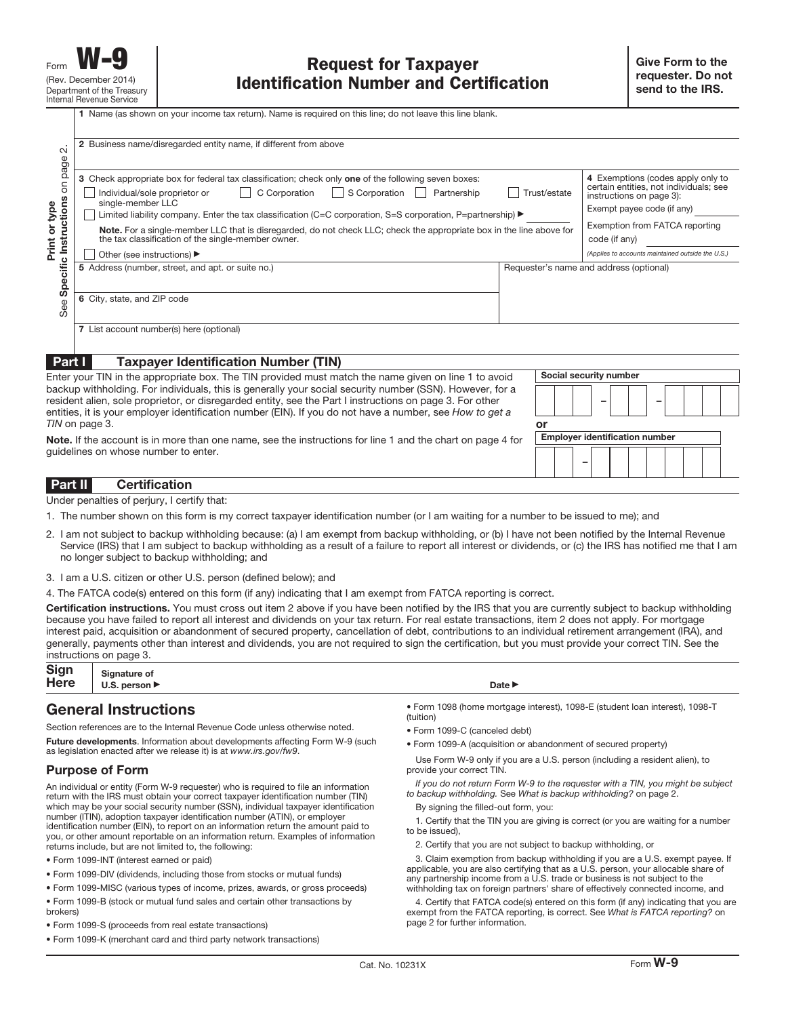| $\mathbf{C}$                                                                                                                                                                                                                                                                                                                     | 2 Business name/disregarded entity name, if different from above                                                                                                                                                                                                                                                                           |              |                                                                                                                                       |
|----------------------------------------------------------------------------------------------------------------------------------------------------------------------------------------------------------------------------------------------------------------------------------------------------------------------------------|--------------------------------------------------------------------------------------------------------------------------------------------------------------------------------------------------------------------------------------------------------------------------------------------------------------------------------------------|--------------|---------------------------------------------------------------------------------------------------------------------------------------|
| on page<br>Specific Instructions<br>Print or type                                                                                                                                                                                                                                                                                | 3 Check appropriate box for federal tax classification; check only one of the following seven boxes:<br>S Corporation<br>C Corporation<br>Individual/sole proprietor or<br>Partnership<br>$\mathbf{L}$<br>single-member LLC<br>Limited liability company. Enter the tax classification (C=C corporation, S=S corporation, P=partnership) ▶ | Trust/estate | 4 Exemptions (codes apply only to<br>certain entities, not individuals; see<br>instructions on page 3):<br>Exempt payee code (if any) |
|                                                                                                                                                                                                                                                                                                                                  | Note. For a single-member LLC that is disregarded, do not check LLC; check the appropriate box in the line above for<br>the tax classification of the single-member owner.<br>Other (see instructions) ▶                                                                                                                                   |              | Exemption from FATCA reporting<br>code (if any)<br>(Applies to accounts maintained outside the U.S.)                                  |
|                                                                                                                                                                                                                                                                                                                                  | 5 Address (number, street, and apt. or suite no.)                                                                                                                                                                                                                                                                                          |              | Requester's name and address (optional)                                                                                               |
| See                                                                                                                                                                                                                                                                                                                              | 6 City, state, and ZIP code                                                                                                                                                                                                                                                                                                                |              |                                                                                                                                       |
|                                                                                                                                                                                                                                                                                                                                  | 7 List account number(s) here (optional)                                                                                                                                                                                                                                                                                                   |              |                                                                                                                                       |
| Part I                                                                                                                                                                                                                                                                                                                           | <b>Taxpayer Identification Number (TIN)</b>                                                                                                                                                                                                                                                                                                |              |                                                                                                                                       |
|                                                                                                                                                                                                                                                                                                                                  | Enter your TIN in the appropriate box. The TIN provided must match the name given on line 1 to avoid                                                                                                                                                                                                                                       |              | Social security number                                                                                                                |
| backup withholding. For individuals, this is generally your social security number (SSN). However, for a<br>resident alien, sole proprietor, or disregarded entity, see the Part I instructions on page 3. For other<br>entities, it is your employer identification number (EIN). If you do not have a number, see How to get a |                                                                                                                                                                                                                                                                                                                                            |              |                                                                                                                                       |
|                                                                                                                                                                                                                                                                                                                                  | TIN on page 3.                                                                                                                                                                                                                                                                                                                             | or           |                                                                                                                                       |
| Note. If the account is in more than one name, see the instructions for line 1 and the chart on page 4 for<br>quidelines on whose number to enter.                                                                                                                                                                               |                                                                                                                                                                                                                                                                                                                                            |              | <b>Emplover identification number</b>                                                                                                 |

## **Part II Certification**

Under penalties of perjury, I certify that:

- 1. The number shown on this form is my correct taxpayer identification number (or I am waiting for a number to be issued to me); and
- 2. I am not subject to backup withholding because: (a) I am exempt from backup withholding, or (b) I have not been notified by the Internal Revenue Service (IRS) that I am subject to backup withholding as a result of a failure to report all interest or dividends, or (c) the IRS has notified me that I am no longer subject to backup withholding; and
- 3. I am a U.S. citizen or other U.S. person (defined below); and

4. The FATCA code(s) entered on this form (if any) indicating that I am exempt from FATCA reporting is correct.

**Certification instructions.** You must cross out item 2 above if you have been notified by the IRS that you are currently subject to backup withholding because you have failed to report all interest and dividends on your tax return. For real estate transactions, item 2 does not apply. For mortgage interest paid, acquisition or abandonment of secured property, cancellation of debt, contributions to an individual retirement arrangement (IRA), and generally, payments other than interest and dividends, you are not required to sign the certification, but you must provide your correct TIN. See the instructions on page 3.

| Sign Signature of $Here$ U.S. person | Date $\blacktriangleright$ |
|--------------------------------------|----------------------------|
|                                      |                            |

## **General Instructions**

Section references are to the Internal Revenue Code unless otherwise noted.

**Future developments**. Information about developments affecting Form W-9 (such as legislation enacted after we release it) is at www.irs.gov/fw9.

## **Purpose of Form**

An individual or entity (Form W-9 requester) who is required to file an information return with the IRS must obtain your correct taxpayer identification number (TIN) which may be your social security number (SSN), individual taxpayer identification number (ITIN), adoption taxpayer identification number (ATIN), or employer identification number (EIN), to report on an information return the amount paid to you, or other amount reportable on an information return. Examples of information returns include, but are not limited to, the following:

- Form 1099-INT (interest earned or paid)
- Form 1099-DIV (dividends, including those from stocks or mutual funds)
- Form 1099-MISC (various types of income, prizes, awards, or gross proceeds)
- Form 1099-B (stock or mutual fund sales and certain other transactions by brokers)
- Form 1099-S (proceeds from real estate transactions)
- Form 1099-K (merchant card and third party network transactions)

- Form 1098 (home mortgage interest), 1098-E (student loan interest), 1098-T (tuition)
- Form 1099-C (canceled debt)
- Form 1099-A (acquisition or abandonment of secured property)

Use Form W-9 only if you are a U.S. person (including a resident alien), to provide your correct TIN.

If you do not return Form W-9 to the requester with a TIN, you might be subject to backup withholding. See What is backup withholding? on page 2.

By signing the filled-out form, you:

1. Certify that the TIN you are giving is correct (or you are waiting for a number to be issued),

2. Certify that you are not subject to backup withholding, or

3. Claim exemption from backup withholding if you are a U.S. exempt payee. If applicable, you are also certifying that as a U.S. person, your allocable share of any partnership income from a U.S. trade or business is not subject to the withholding tax on foreign partners' share of effectively connected income, and

4. Certify that FATCA code(s) entered on this form (if any) indicating that you are exempt from the FATCA reporting, is correct. See What is FATCA reporting? on page 2 for further information.